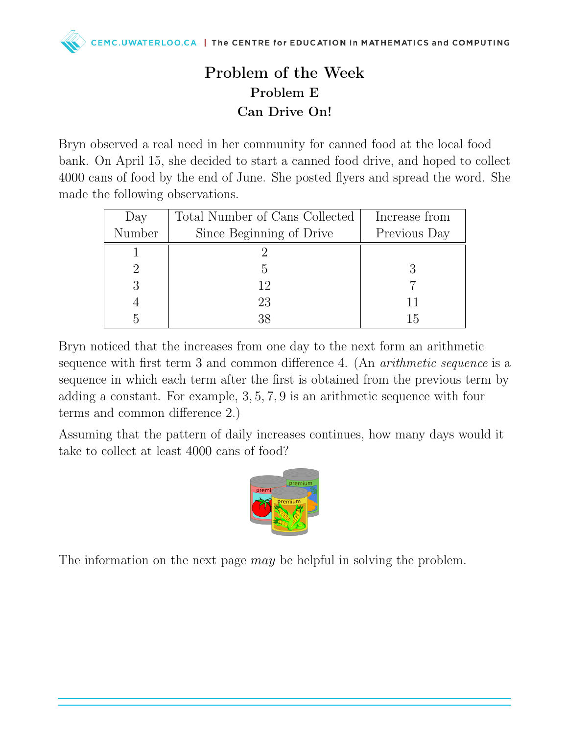## Problem of the Week Problem E Can Drive On!

Bryn observed a real need in her community for canned food at the local food bank. On April 15, she decided to start a canned food drive, and hoped to collect 4000 cans of food by the end of June. She posted flyers and spread the word. She made the following observations.

| Day    | Total Number of Cans Collected | Increase from |
|--------|--------------------------------|---------------|
| Number | Since Beginning of Drive       | Previous Day  |
|        |                                |               |
|        | h,                             |               |
|        | 12                             |               |
|        | 23                             |               |
|        | 38                             | ТÞ            |

Bryn noticed that the increases from one day to the next form an arithmetic sequence with first term 3 and common difference 4. (An *arithmetic sequence* is a sequence in which each term after the first is obtained from the previous term by adding a constant. For example, 3, 5, 7, 9 is an arithmetic sequence with four terms and common difference 2.)

Assuming that the pattern of daily increases continues, how many days would it take to collect at least 4000 cans of food?



The information on the next page *may* be helpful in solving the problem.